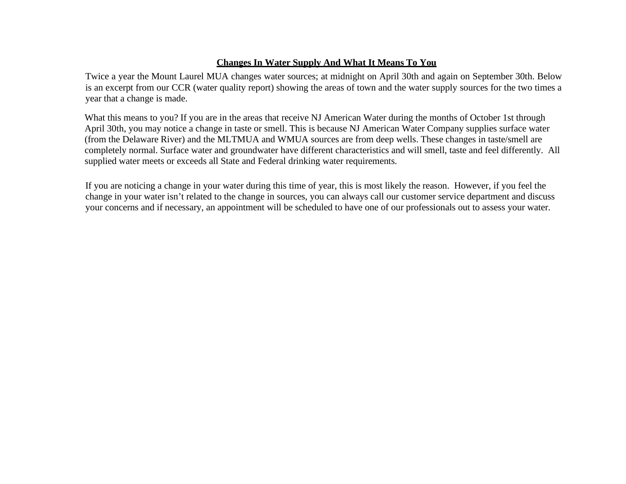## **Changes In Water Supply And What It Means To You**

Twice a year the Mount Laurel MUA changes water sources; at midnight on April 30th and again on September 30th. Below is an excerpt from our CCR (water quality report) showing the areas of town and the water supply sources for the two times a year that a change is made.

What this means to you? If you are in the areas that receive NJ American Water during the months of October 1st through April 30th, you may notice a change in taste or smell. This is because NJ American Water Company supplies surface water (from the Delaware River) and the MLTMUA and WMUA sources are from deep wells. These changes in taste/smell are completely normal. Surface water and groundwater have different characteristics and will smell, taste and feel differently. All supplied water meets or exceeds all State and Federal drinking water requirements.

If you are noticing a change in your water during this time of year, this is most likely the reason. However, if you feel the change in your water isn't related to the change in sources, you can always call our customer service department and discuss your concerns and if necessary, an appointment will be scheduled to have one of our professionals out to assess your water.